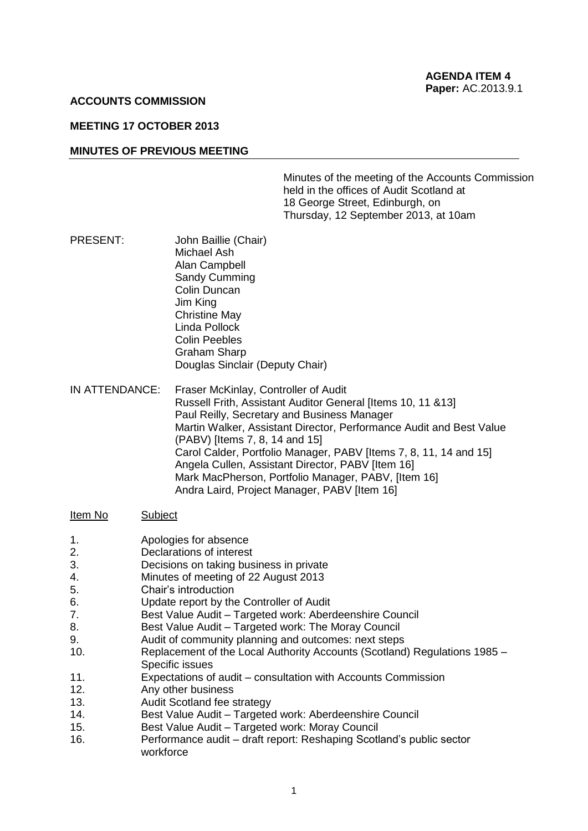#### **ACCOUNTS COMMISSION**

### **MEETING 17 OCTOBER 2013**

#### **MINUTES OF PREVIOUS MEETING**

Minutes of the meeting of the Accounts Commission held in the offices of Audit Scotland at 18 George Street, Edinburgh, on Thursday, 12 September 2013, at 10am

- PRESENT: John Baillie (Chair) Michael Ash Alan Campbell Sandy Cumming Colin Duncan Jim King Christine May Linda Pollock Colin Peebles Graham Sharp Douglas Sinclair (Deputy Chair)
- IN ATTENDANCE: Fraser McKinlay, Controller of Audit Russell Frith, Assistant Auditor General [Items 10, 11 &13] Paul Reilly, Secretary and Business Manager Martin Walker, Assistant Director, Performance Audit and Best Value (PABV) [Items 7, 8, 14 and 15] Carol Calder, Portfolio Manager, PABV [Items 7, 8, 11, 14 and 15] Angela Cullen, Assistant Director, PABV [Item 16] Mark MacPherson, Portfolio Manager, PABV, [Item 16] Andra Laird, Project Manager, PABV [Item 16]

#### Item No Subject

- 1. Apologies for absence
- 2. Declarations of interest
- 3. Decisions on taking business in private
- 4. Minutes of meeting of 22 August 2013
- 5. Chair's introduction
- 6. Update report by the Controller of Audit
- 7. Best Value Audit Targeted work: Aberdeenshire Council
- 8. Best Value Audit Targeted work: The Moray Council
- 9. Audit of community planning and outcomes: next steps
- 10. Replacement of the Local Authority Accounts (Scotland) Regulations 1985 Specific issues
- 11. Expectations of audit consultation with Accounts Commission
- 12. Any other business
- 13. Audit Scotland fee strategy
- 14. Best Value Audit Targeted work: Aberdeenshire Council
- 15. Best Value Audit Targeted work: Moray Council
- 16. Performance audit draft report: Reshaping Scotland's public sector workforce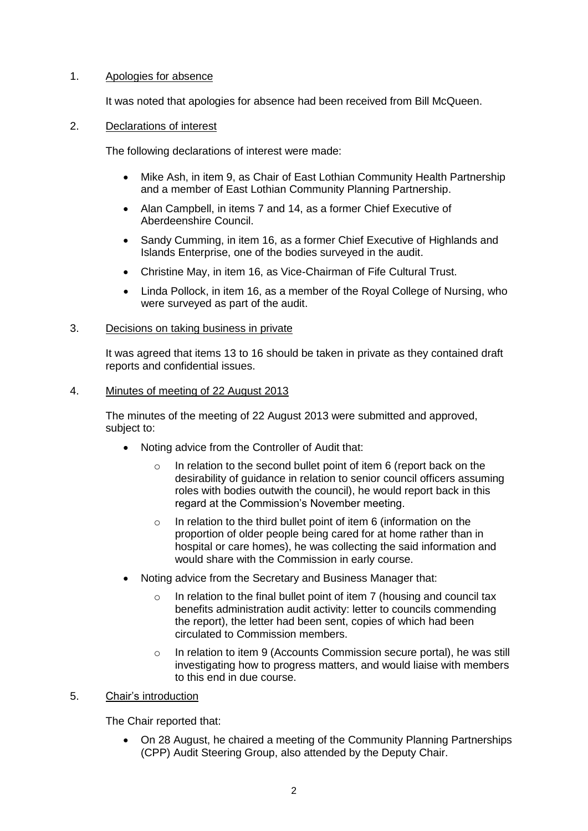## 1. Apologies for absence

It was noted that apologies for absence had been received from Bill McQueen.

## 2. Declarations of interest

The following declarations of interest were made:

- Mike Ash, in item 9, as Chair of East Lothian Community Health Partnership and a member of East Lothian Community Planning Partnership.
- Alan Campbell, in items 7 and 14, as a former Chief Executive of Aberdeenshire Council.
- Sandy Cumming, in item 16, as a former Chief Executive of Highlands and Islands Enterprise, one of the bodies surveyed in the audit.
- Christine May, in item 16, as Vice-Chairman of Fife Cultural Trust.
- Linda Pollock, in item 16, as a member of the Royal College of Nursing, who were surveyed as part of the audit.

## 3. Decisions on taking business in private

It was agreed that items 13 to 16 should be taken in private as they contained draft reports and confidential issues.

## 4. Minutes of meeting of 22 August 2013

The minutes of the meeting of 22 August 2013 were submitted and approved, subject to:

- Noting advice from the Controller of Audit that:
	- o In relation to the second bullet point of item 6 (report back on the desirability of guidance in relation to senior council officers assuming roles with bodies outwith the council), he would report back in this regard at the Commission's November meeting.
	- $\circ$  In relation to the third bullet point of item 6 (information on the proportion of older people being cared for at home rather than in hospital or care homes), he was collecting the said information and would share with the Commission in early course.
- Noting advice from the Secretary and Business Manager that:
	- o In relation to the final bullet point of item 7 (housing and council tax benefits administration audit activity: letter to councils commending the report), the letter had been sent, copies of which had been circulated to Commission members.
	- o In relation to item 9 (Accounts Commission secure portal), he was still investigating how to progress matters, and would liaise with members to this end in due course.

# 5. Chair's introduction

The Chair reported that:

 On 28 August, he chaired a meeting of the Community Planning Partnerships (CPP) Audit Steering Group, also attended by the Deputy Chair.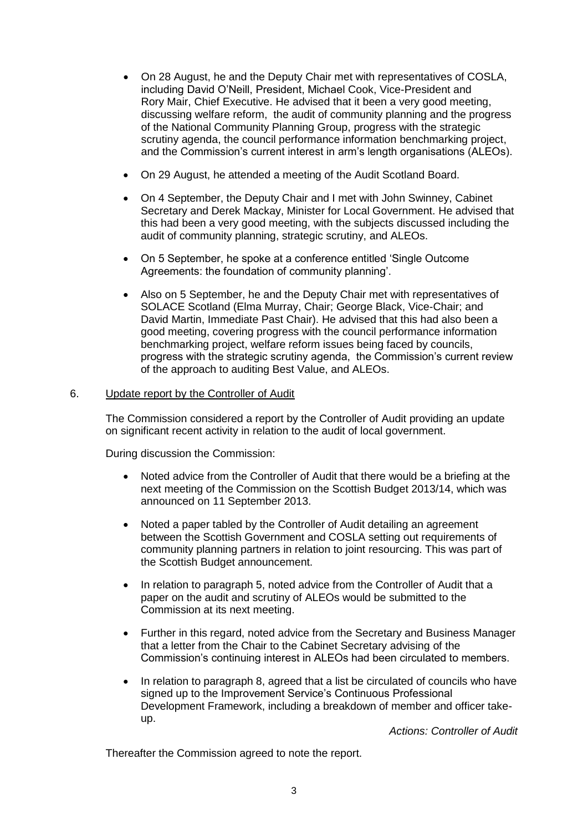- On 28 August, he and the Deputy Chair met with representatives of COSLA, including David O'Neill, President, Michael Cook, Vice-President and Rory Mair, Chief Executive. He advised that it been a very good meeting, discussing welfare reform, the audit of community planning and the progress of the National Community Planning Group, progress with the strategic scrutiny agenda, the council performance information benchmarking project, and the Commission's current interest in arm's length organisations (ALEOs).
- On 29 August, he attended a meeting of the Audit Scotland Board.
- On 4 September, the Deputy Chair and I met with John Swinney, Cabinet Secretary and Derek Mackay, Minister for Local Government. He advised that this had been a very good meeting, with the subjects discussed including the audit of community planning, strategic scrutiny, and ALEOs.
- On 5 September, he spoke at a conference entitled 'Single Outcome Agreements: the foundation of community planning'.
- Also on 5 September, he and the Deputy Chair met with representatives of SOLACE Scotland (Elma Murray, Chair; George Black, Vice-Chair; and David Martin, Immediate Past Chair). He advised that this had also been a good meeting, covering progress with the council performance information benchmarking project, welfare reform issues being faced by councils, progress with the strategic scrutiny agenda, the Commission's current review of the approach to auditing Best Value, and ALEOs.

### 6. Update report by the Controller of Audit

The Commission considered a report by the Controller of Audit providing an update on significant recent activity in relation to the audit of local government.

During discussion the Commission:

- Noted advice from the Controller of Audit that there would be a briefing at the next meeting of the Commission on the Scottish Budget 2013/14, which was announced on 11 September 2013.
- Noted a paper tabled by the Controller of Audit detailing an agreement between the Scottish Government and COSLA setting out requirements of community planning partners in relation to joint resourcing. This was part of the Scottish Budget announcement.
- In relation to paragraph 5, noted advice from the Controller of Audit that a paper on the audit and scrutiny of ALEOs would be submitted to the Commission at its next meeting.
- Further in this regard, noted advice from the Secretary and Business Manager that a letter from the Chair to the Cabinet Secretary advising of the Commission's continuing interest in ALEOs had been circulated to members.
- In relation to paragraph 8, agreed that a list be circulated of councils who have signed up to the Improvement Service's Continuous Professional Development Framework, including a breakdown of member and officer takeup.

*Actions: Controller of Audit*

Thereafter the Commission agreed to note the report.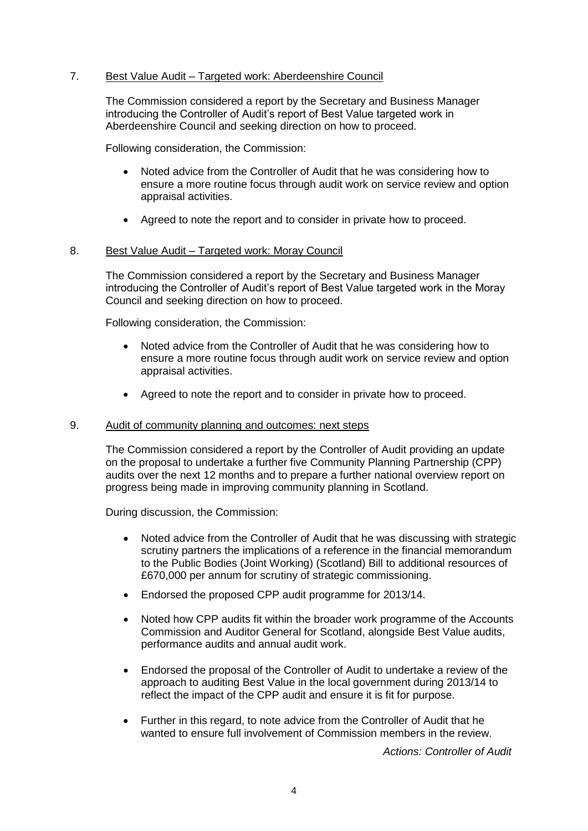## 7. Best Value Audit – Targeted work: Aberdeenshire Council

The Commission considered a report by the Secretary and Business Manager introducing the Controller of Audit's report of Best Value targeted work in Aberdeenshire Council and seeking direction on how to proceed.

Following consideration, the Commission:

- Noted advice from the Controller of Audit that he was considering how to ensure a more routine focus through audit work on service review and option appraisal activities.
- Agreed to note the report and to consider in private how to proceed.

### 8. Best Value Audit – Targeted work: Moray Council

The Commission considered a report by the Secretary and Business Manager introducing the Controller of Audit's report of Best Value targeted work in the Moray Council and seeking direction on how to proceed.

Following consideration, the Commission:

- Noted advice from the Controller of Audit that he was considering how to ensure a more routine focus through audit work on service review and option appraisal activities.
- Agreed to note the report and to consider in private how to proceed.

### 9. Audit of community planning and outcomes: next steps

The Commission considered a report by the Controller of Audit providing an update on the proposal to undertake a further five Community Planning Partnership (CPP) audits over the next 12 months and to prepare a further national overview report on progress being made in improving community planning in Scotland.

During discussion, the Commission:

- Noted advice from the Controller of Audit that he was discussing with strategic scrutiny partners the implications of a reference in the financial memorandum to the Public Bodies (Joint Working) (Scotland) Bill to additional resources of £670,000 per annum for scrutiny of strategic commissioning.
- Endorsed the proposed CPP audit programme for 2013/14.
- Noted how CPP audits fit within the broader work programme of the Accounts Commission and Auditor General for Scotland, alongside Best Value audits, performance audits and annual audit work.
- Endorsed the proposal of the Controller of Audit to undertake a review of the approach to auditing Best Value in the local government during 2013/14 to reflect the impact of the CPP audit and ensure it is fit for purpose.
- Further in this regard, to note advice from the Controller of Audit that he wanted to ensure full involvement of Commission members in the review.

*Actions: Controller of Audit*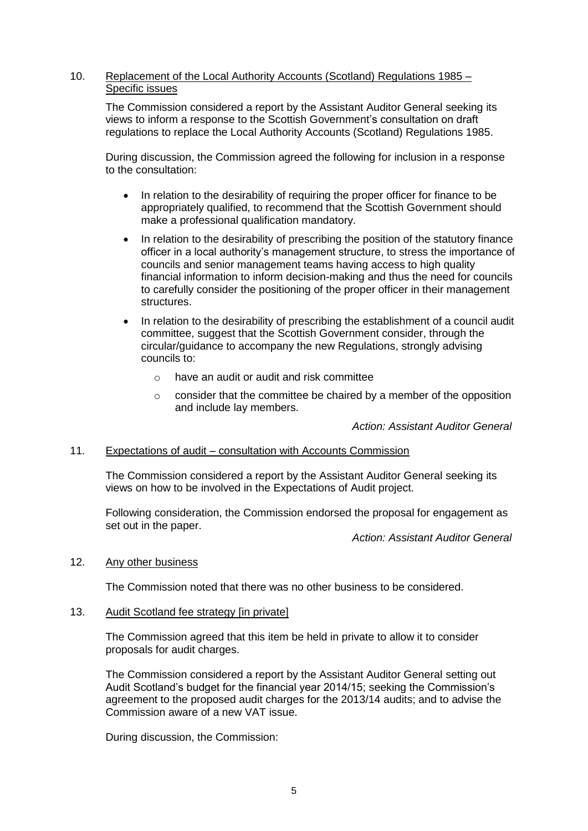## 10. Replacement of the Local Authority Accounts (Scotland) Regulations 1985 – Specific issues

The Commission considered a report by the Assistant Auditor General seeking its views to inform a response to the Scottish Government's consultation on draft regulations to replace the Local Authority Accounts (Scotland) Regulations 1985.

During discussion, the Commission agreed the following for inclusion in a response to the consultation:

- In relation to the desirability of requiring the proper officer for finance to be appropriately qualified, to recommend that the Scottish Government should make a professional qualification mandatory.
- In relation to the desirability of prescribing the position of the statutory finance officer in a local authority's management structure, to stress the importance of councils and senior management teams having access to high quality financial information to inform decision-making and thus the need for councils to carefully consider the positioning of the proper officer in their management structures.
- In relation to the desirability of prescribing the establishment of a council audit committee, suggest that the Scottish Government consider, through the circular/guidance to accompany the new Regulations, strongly advising councils to:
	- $\circ$  have an audit or audit and risk committee
	- $\circ$  consider that the committee be chaired by a member of the opposition and include lay members.

*Action: Assistant Auditor General*

# 11. Expectations of audit – consultation with Accounts Commission

The Commission considered a report by the Assistant Auditor General seeking its views on how to be involved in the Expectations of Audit project.

Following consideration, the Commission endorsed the proposal for engagement as set out in the paper.

*Action: Assistant Auditor General*

## 12. Any other business

The Commission noted that there was no other business to be considered.

## 13. Audit Scotland fee strategy [in private]

The Commission agreed that this item be held in private to allow it to consider proposals for audit charges.

The Commission considered a report by the Assistant Auditor General setting out Audit Scotland's budget for the financial year 2014/15; seeking the Commission's agreement to the proposed audit charges for the 2013/14 audits; and to advise the Commission aware of a new VAT issue.

During discussion, the Commission: